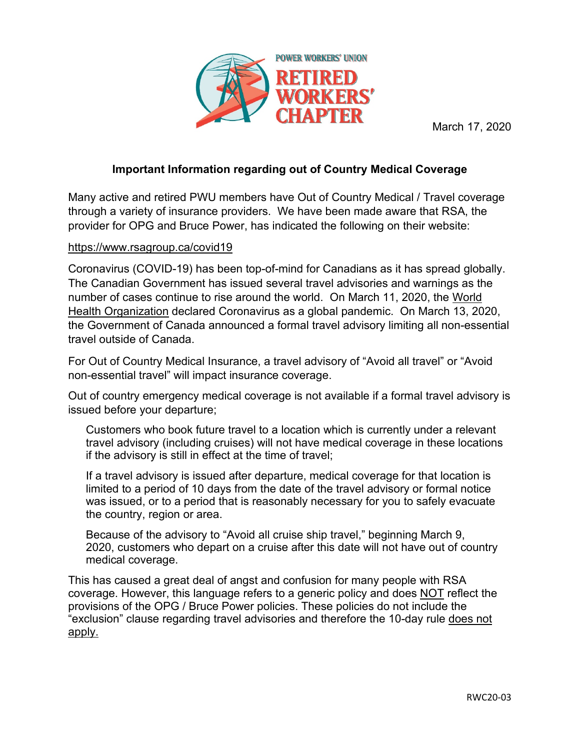

March 17, 2020

## **Important Information regarding out of Country Medical Coverage**

Many active and retired PWU members have Out of Country Medical / Travel coverage through a variety of insurance providers. We have been made aware that RSA, the provider for OPG and Bruce Power, has indicated the following on their website:

## [https://www.rsagroup.ca/covid19](https://eur05.safelinks.protection.outlook.com/?url=https%3A%2F%2Fwww.rsagroup.ca%2Fcovid19&data=02%7C01%7C%7C89ee15c5848e4a8525d408d7ca9ff7a8%7C84df9e7fe9f640afb435aaaaaaaaaaaa%7C1%7C0%7C637200660728061749&sdata=KAZjhBOCUaUW15UTB5mQqbgJrIZ1Q4AcdSFGqWi6b6w%3D&reserved=0)

Coronavirus (COVID-19) has been top-of-mind for Canadians as it has spread globally. The Canadian Government has issued several travel advisories and warnings as the number of cases continue to rise around the world. On March 11, 2020, the [World](https://eur05.safelinks.protection.outlook.com/?url=https%3A%2F%2Fwww.who.int%2Femergencies%2Fdiseases%2Fnovel-coronavirus-2019&data=02%7C01%7C%7C89ee15c5848e4a8525d408d7ca9ff7a8%7C84df9e7fe9f640afb435aaaaaaaaaaaa%7C1%7C0%7C637200660728061749&sdata=42eMRPxMru3Yyqxbe4eCKU3vTJQaDaORoEk959mcLYI%3D&reserved=0)  [Health Organization](https://eur05.safelinks.protection.outlook.com/?url=https%3A%2F%2Fwww.who.int%2Femergencies%2Fdiseases%2Fnovel-coronavirus-2019&data=02%7C01%7C%7C89ee15c5848e4a8525d408d7ca9ff7a8%7C84df9e7fe9f640afb435aaaaaaaaaaaa%7C1%7C0%7C637200660728061749&sdata=42eMRPxMru3Yyqxbe4eCKU3vTJQaDaORoEk959mcLYI%3D&reserved=0) declared Coronavirus as a global pandemic. On March 13, 2020, the Government of Canada announced a formal travel advisory limiting all non-essential travel outside of Canada.

For Out of Country Medical Insurance, a travel advisory of "Avoid all travel" or "Avoid non-essential travel" will impact insurance coverage.

Out of country emergency medical coverage is not available if a formal travel advisory is issued before your departure;

Customers who book future travel to a location which is currently under a relevant travel advisory (including cruises) will not have medical coverage in these locations if the advisory is still in effect at the time of travel;

If a travel advisory is issued after departure, medical coverage for that location is limited to a period of 10 days from the date of the travel advisory or formal notice was issued, or to a period that is reasonably necessary for you to safely evacuate the country, region or area.

Because of the advisory to "Avoid all cruise ship travel," beginning March 9, 2020, customers who depart on a cruise after this date will not have out of country medical coverage.

This has caused a great deal of angst and confusion for many people with RSA coverage. However, this language refers to a generic policy and does NOT reflect the provisions of the OPG / Bruce Power policies. These policies do not include the "exclusion" clause regarding travel advisories and therefore the 10-day rule does not apply.